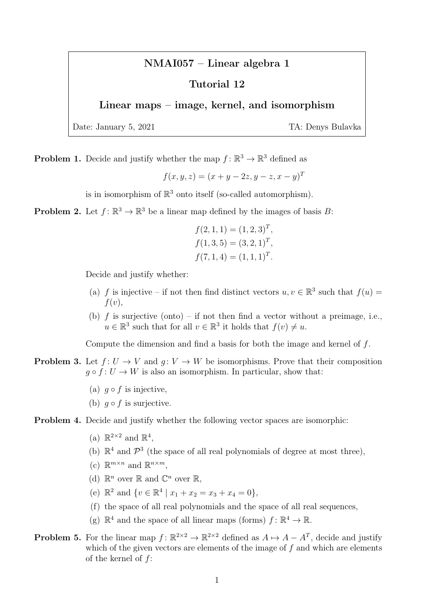## NMAI057 – Linear algebra 1

## Tutorial 12

## Linear maps – image, kernel, and isomorphism

Date: January 5, 2021 TA: Denys Bulavka

**Problem 1.** Decide and justify whether the map  $f: \mathbb{R}^3 \to \mathbb{R}^3$  defined as

$$
f(x, y, z) = (x + y - 2z, y - z, x - y)^{T}
$$

is in isomorphism of  $\mathbb{R}^3$  onto itself (so-called automorphism).

**Problem 2.** Let  $f: \mathbb{R}^3 \to \mathbb{R}^3$  be a linear map defined by the images of basis B:

$$
f(2, 1, 1) = (1, 2, 3)T,f(1, 3, 5) = (3, 2, 1)T,f(7, 1, 4) = (1, 1, 1)T.
$$

Decide and justify whether:

- (a) f is injective if not then find distinct vectors  $u, v \in \mathbb{R}^3$  such that  $f(u) =$  $f(v)$ ,
- (b)  $f$  is surjective (onto) if not then find a vector without a preimage, i.e.,  $u \in \mathbb{R}^3$  such that for all  $v \in \mathbb{R}^3$  it holds that  $f(v) \neq u$ .

Compute the dimension and find a basis for both the image and kernel of f.

- **Problem 3.** Let  $f: U \to V$  and  $g: V \to W$  be isomorphisms. Prove that their composition  $q \circ f : U \to W$  is also an isomorphism. In particular, show that:
	- (a)  $g \circ f$  is injective.
	- (b)  $q \circ f$  is surjective.

## Problem 4. Decide and justify whether the following vector spaces are isomorphic:

- (a)  $\mathbb{R}^{2\times 2}$  and  $\mathbb{R}^4$ ,
- (b)  $\mathbb{R}^4$  and  $\mathcal{P}^3$  (the space of all real polynomials of degree at most three),
- (c)  $\mathbb{R}^{m \times n}$  and  $\mathbb{R}^{n \times m}$ ,
- (d)  $\mathbb{R}^n$  over  $\mathbb{R}$  and  $\mathbb{C}^n$  over  $\mathbb{R}$ ,
- (e)  $\mathbb{R}^2$  and  $\{v \in \mathbb{R}^4 \mid x_1 + x_2 = x_3 + x_4 = 0\},\$
- (f) the space of all real polynomials and the space of all real sequences,
- (g)  $\mathbb{R}^4$  and the space of all linear maps (forms)  $f: \mathbb{R}^4 \to \mathbb{R}$ .
- **Problem 5.** For the linear map  $f: \mathbb{R}^{2 \times 2} \to \mathbb{R}^{2 \times 2}$  defined as  $A \mapsto A A^T$ , decide and justify which of the given vectors are elements of the image of  $f$  and which are elements of the kernel of f: